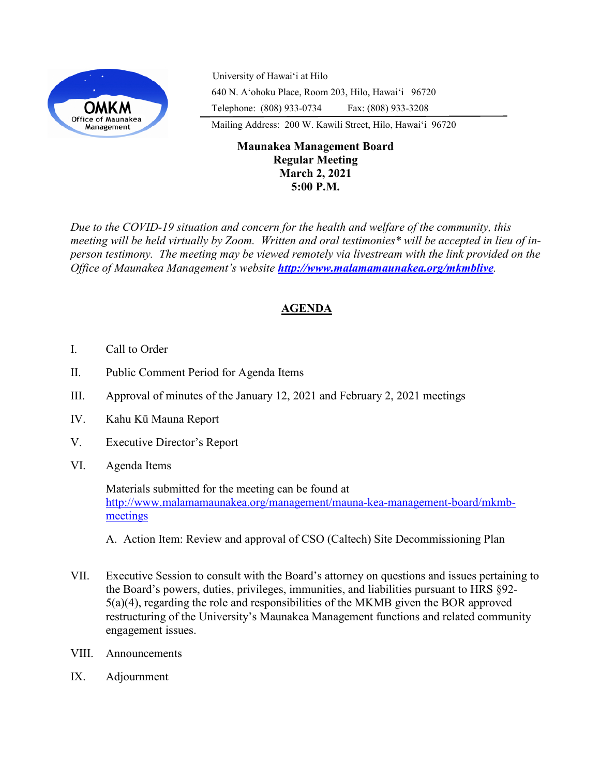

University of Hawaiʻi at Hilo 640 N. A'ohoku Place, Room 203, Hilo, Hawai'i 96720 Telephone: (808) 933-0734 Fax: (808) 933-3208

Mailing Address: 200 W. Kawili Street, Hilo, Hawai'i 96720

## **Maunakea Management Board Regular Meeting March 2, 2021 5:00 P.M.**

*Due to the COVID-19 situation and concern for the health and welfare of the community, this meeting will be held virtually by Zoom. Written and oral testimonies\* will be accepted in lieu of inperson testimony. The meeting may be viewed remotely via livestream with the link provided on the Office of Maunakea Management's website <http://www.malamamaunakea.org/mkmblive>.*

# **AGENDA**

- I. Call to Order
- II. Public Comment Period for Agenda Items
- III. Approval of minutes of the January 12, 2021 and February 2, 2021 meetings
- IV. Kahu Kū Mauna Report
- V. Executive Director's Report
- VI. Agenda Items

Materials submitted for the meeting can be found at [http://www.malamamaunakea.org/management/mauna](http://www.malamamaunakea.org/management/mauna-kea-management-board/mkmb-meetings)-kea-management-board/mkmb[meetings](http://www.malamamaunakea.org/management/mauna-kea-management-board/mkmb-meetings)

#### A. Action Item: Review and approval of CSO (Caltech) Site Decommissioning Plan

- VII. Executive Session to consult with the Board's attorney on questions and issues pertaining to the Board's powers, duties, privileges, immunities, and liabilities pursuant to HRS §92- 5(a)(4), regarding the role and responsibilities of the MKMB given the BOR approved restructuring of the University's Maunakea Management functions and related community engagement issues.
- VIII. Announcements
- IX. Adjournment